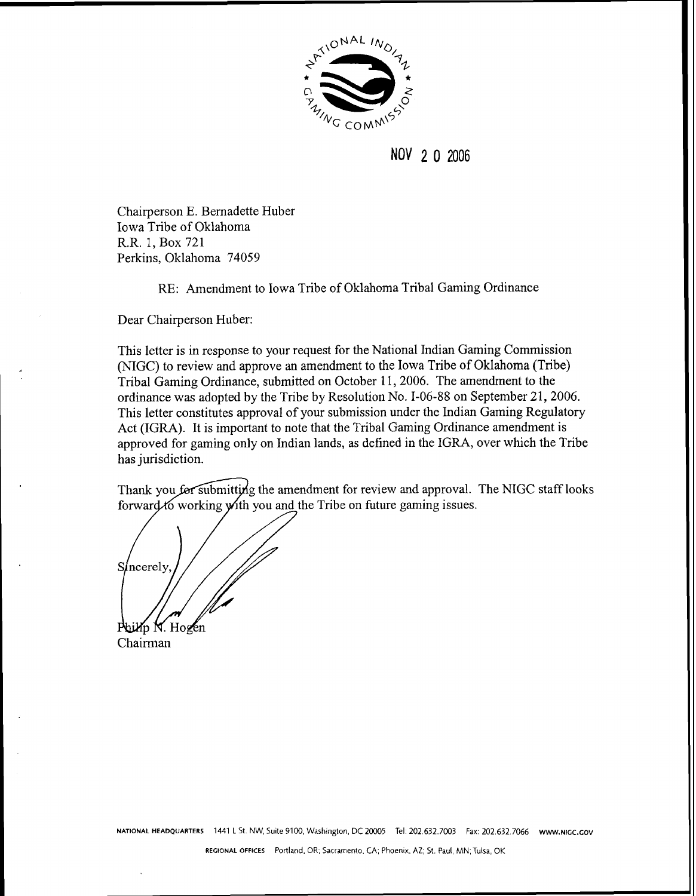

### NOV 2 0 2006

Chairperson E. Bernadette Huber Iowa Tribe of Oklahoma R.R. 1, Box 721 Perkins, Oklahoma 74059

RE: Amendment to Iowa Tribe of Oklahoma Tribal Gaming Ordinance

Dear Chairperson Huber:

This letter is in response to your request for the National Indian Gaming Commission (NIGC) to review and approve an amendment to the Iowa Tribe of Oklahoma (Tribe) Tribal Gaming Ordinance, submitted on October 11,2006. The amendment to the ordinance was adopted by the Tribe by Resolution No. 1-06-88 on September 21,2006. This letter constitutes approval of your submission under the Indian Gaming Regulatory Act (IGRA). It is important to note that the Tribal Gaming Ordinance amendment is approved for gaming only on Indian lands, as defined in the IGRA, over which the Tribe has jurisdiction.

Thank you for submitting the amendment for review and approval. The NIGC staff looks forward to working with you and the Tribe on future gaming issues.

Sincerely Mp N. Hogen

Chairman

**NATIONAL HEADQUARTERS 1441** L St. NW, Suite 9100, Washington, DC 20005 Tel: 202.632.7003 Fax: 202.632.7066 **WWW.NlGC.GOV** 

**REGIONAL OFFICES** Portland. OR; Sacramento. CA; Phoenix, **AZ;** St. **Paul,** MN; Tulsa, OK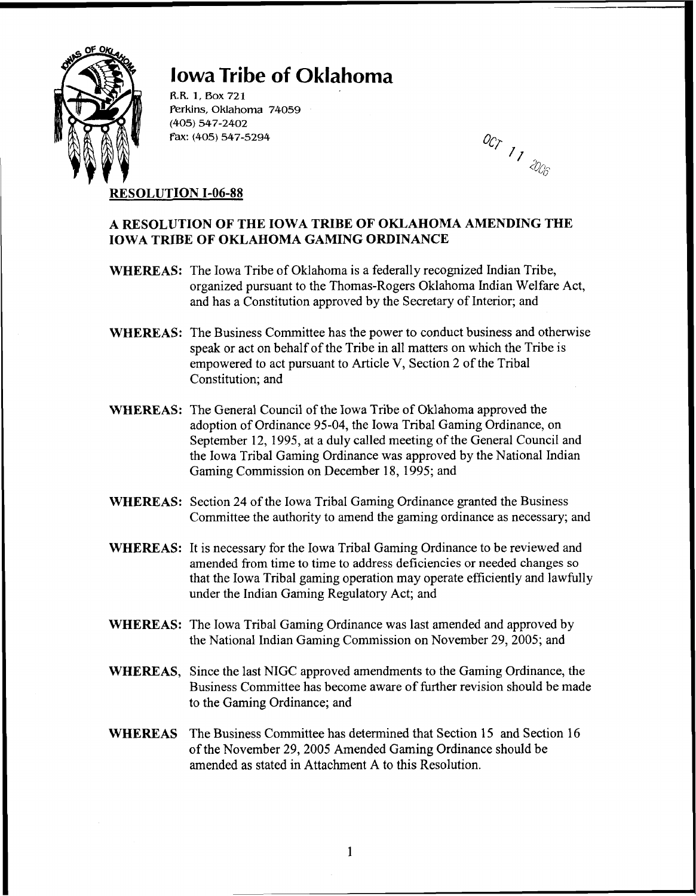

## **Iowa Tribe of Oklahoma**

R.R. 1, Box 721 **Perkins,** Oklahoma 74059 (405) 547-2402 fax: (405) 547-5294

007 1 1 2006

#### **RESOLUTION 1-06-88**

#### **A RESOLUTION OF THE IOWA TRIBE OF OKLAHOMA AMENDING THE IOWA TRIBE OF OKLAHOMA GAMING ORDINANCE**

- **WHEREAS:** The Iowa Tribe of Oklahoma is a federally recognized Indian Tribe, organized pursuant to the Thomas-Rogers Oklahoma Indian Welfare Act, and has a Constitution approved by the Secretary of Interior; and
- **WHEREAS:** The Business Committee has the power to conduct business and otherwise speak or act on behalf of the Tribe in all matters on which the Tribe is empowered to act pursuant to Article V, Section 2 of the Tribal Constitution; and
- WHEREAS: The General Council of the Iowa Tribe of Oklahoma approved the adoption of Ordinance 95-04, the Iowa Tribal Gaming Ordinance, on September 12, 1995, at a duly called meeting of the General Council and the Iowa Tribal Gaming Ordinance was approved by the National Indian Gaming Commission on December 18, 1995; and
- **WHEREAS:** Section 24 of the Iowa Tribal Gaming Ordinance granted the Business Committee the authority to amend the gaming ordinance as necessary; and
- **WHEREAS:** It is necessary for the Iowa Tribal Gaming Ordinance to be reviewed and amended from time to time to address deficiencies or needed changes so that the Iowa Tribal gaming operation may operate efficiently and lawfully under the Indian Gaming Regulatory Act; and
- **WHEREAS:** The Iowa Tribal Gaming Ordinance was last amended and approved by the National Indian Gaming Commission on November 29, 2005; and
- **WHEREAS,** Since the last NIGC approved amendments to the Gaming Ordinance, the Business Committee has become aware of further revision should be made to the Gaming Ordinance; and
- **WHEREAS** The Business Committee has determined that Section 15 and Section 16 of the November 29,2005 Amended Gaming Ordinance should be amended as stated in Attachment A to this Resolution.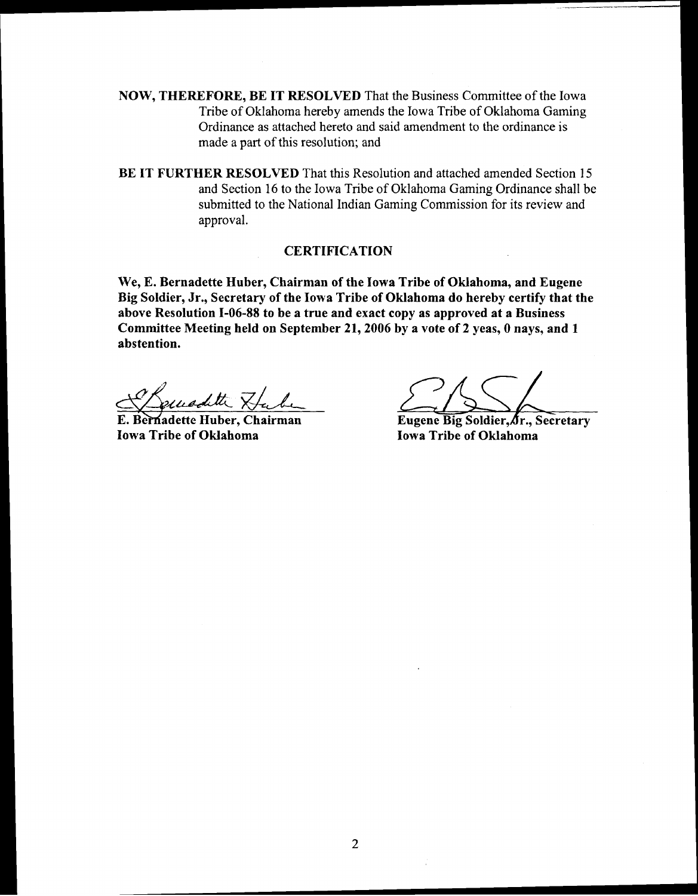NOW, THEREFORE, BE IT RESOLVED That the Business Committee of the Iowa Tribe of Oklahoma hereby amends the Iowa Tribe of Oklahoma Gaming Ordinance as attached hereto and said amendment to the ordinance is made a part of this resolution; and

BE IT FURTHER RESOLVED That this Resolution and attached amended Section 15 and Section 16 to the Iowa Tribe of Oklahoma Gaming Ordinance shall be submitted to the National Indian Gaming Commission for its review and approval.

#### **CERTIFICATION**

We, E. Bernadette Huber, Chairman of the Iowa Tribe of Oklahoma, and Eugene Big Soldier, Jr., Secretary of the Iowa Tribe of Oklahoma do hereby certify that the above Resolution 1-06-88 to be a true and exact copy as approved at a Business Committee Meeting held on September 21,2006 by a vote of 2 yeas, 0 nays, and 1 abstention.

<u>Leuraditte Habe</u>

Iowa Tribe of Oklahoma<br>Iowa Tribe of Oklahoma

Eugene Big Soldier, Ar., Secretary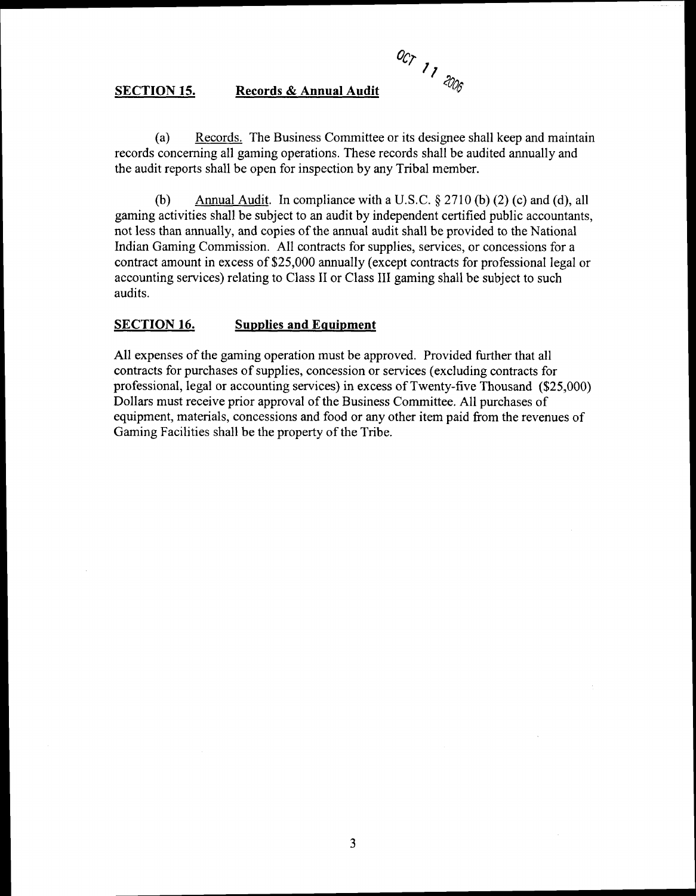**O~P 77** 

#### **SECTION 15. Records** & **Annual Audit**

(a) Records. The Business Committee or its designee shall keep and maintain records concerning all gaming operations. These records shall be audited annually and the audit reports shall be open for inspection by any Tribal member.

(b) Annual Audit. In compliance with a U.S.C. *5* 27 10 (b) (2) (c) and (d), all gaming activities shall be subject to an audit by independent certified public accountants, not less than annually, and copies of the annual audit shall be provided to the National Indian Gaming Commission. All contracts for supplies, services, or concessions for a contract amount in excess of \$25,000 annually (except contracts for professional legal or accounting services) relating to Class I1 or Class 111 gaming shall be subject to such audits.

#### **SECTION 16. Supplies and Eauipment**

All expenses of the gaming operation must be approved. Provided further that all contracts for purchases of supplies, concession or services (excluding contracts for professional, legal or accounting services) in excess of Twenty-five Thousand (\$25,000) Dollars must receive prior approval of the Business Committee. All purchases of equipment, materials, concessions and food or any other item paid from the revenues of Gaming Facilities shall be the property of the Tribe.